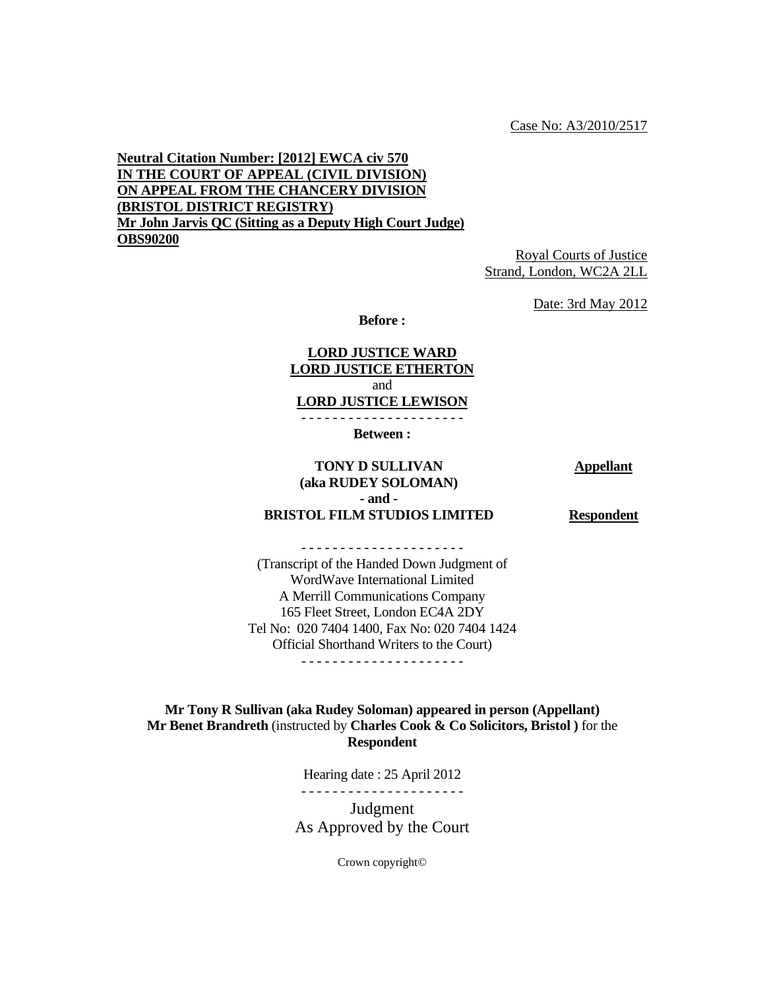Case No: A3/2010/2517

**Neutral Citation Number: [2012] EWCA civ 570 IN THE COURT OF APPEAL (CIVIL DIVISION) ON APPEAL FROM THE CHANCERY DIVISION (BRISTOL DISTRICT REGISTRY) Mr John Jarvis QC (Sitting as a Deputy High Court Judge) OBS90200**

Royal Courts of Justice Strand, London, WC2A 2LL

Date: 3rd May 2012

**Before :** 

#### **LORD JUSTICE WARD LORD JUSTICE ETHERTON** and **LORD JUSTICE LEWISON** - - - - - - - - - - - - - - - - - - - - -

**Between :** 

# **TONY D SULLIVAN (aka RUDEY SOLOMAN) - and - BRISTOL FILM STUDIOS LIMITED Respondent**

**Appellant**

- - - - - - - - - - - - - - - - - - - - -

(Transcript of the Handed Down Judgment of WordWave International Limited A Merrill Communications Company 165 Fleet Street, London EC4A 2DY Tel No: 020 7404 1400, Fax No: 020 7404 1424 Official Shorthand Writers to the Court) - - - - - - - - - - - - - - - - - - - - -

**Mr Tony R Sullivan (aka Rudey Soloman) appeared in person (Appellant) Mr Benet Brandreth** (instructed by **Charles Cook & Co Solicitors, Bristol )** for the **Respondent** 

> Hearing date : 25 April 2012 - - - - - - - - - - - - - - - - - - - - -

Judgment As Approved by the Court

Crown copyright©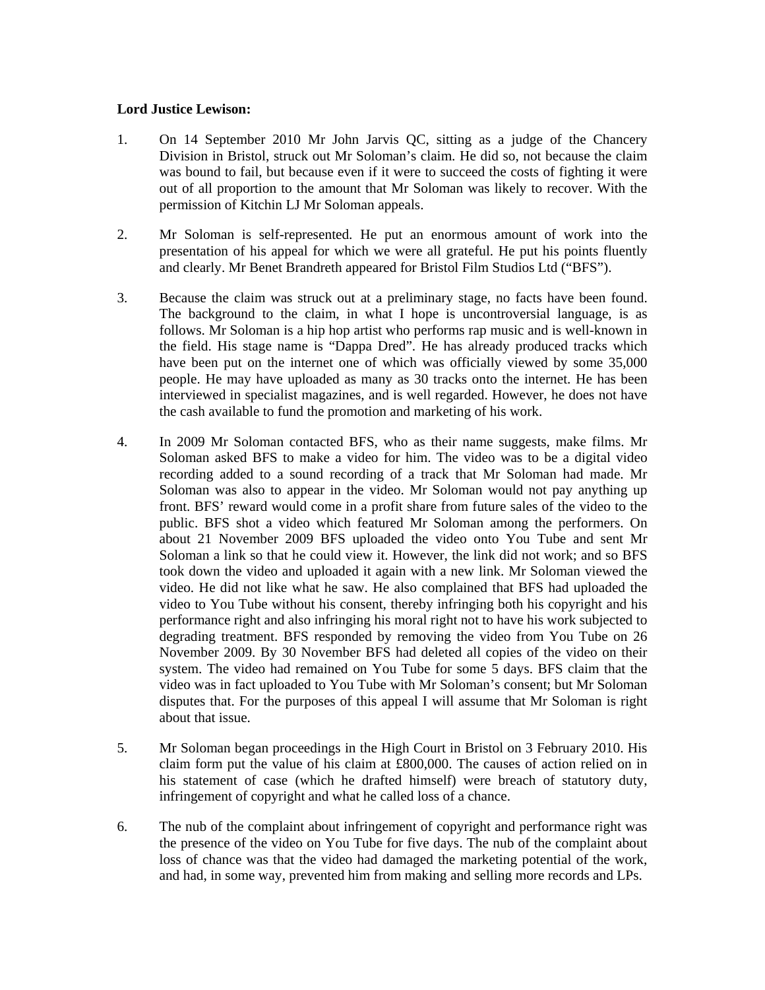### **Lord Justice Lewison:**

- 1. On 14 September 2010 Mr John Jarvis QC, sitting as a judge of the Chancery Division in Bristol, struck out Mr Soloman's claim. He did so, not because the claim was bound to fail, but because even if it were to succeed the costs of fighting it were out of all proportion to the amount that Mr Soloman was likely to recover. With the permission of Kitchin LJ Mr Soloman appeals.
- 2. Mr Soloman is self-represented. He put an enormous amount of work into the presentation of his appeal for which we were all grateful. He put his points fluently and clearly. Mr Benet Brandreth appeared for Bristol Film Studios Ltd ("BFS").
- 3. Because the claim was struck out at a preliminary stage, no facts have been found. The background to the claim, in what I hope is uncontroversial language, is as follows. Mr Soloman is a hip hop artist who performs rap music and is well-known in the field. His stage name is "Dappa Dred". He has already produced tracks which have been put on the internet one of which was officially viewed by some 35,000 people. He may have uploaded as many as 30 tracks onto the internet. He has been interviewed in specialist magazines, and is well regarded. However, he does not have the cash available to fund the promotion and marketing of his work.
- 4. In 2009 Mr Soloman contacted BFS, who as their name suggests, make films. Mr Soloman asked BFS to make a video for him. The video was to be a digital video recording added to a sound recording of a track that Mr Soloman had made. Mr Soloman was also to appear in the video. Mr Soloman would not pay anything up front. BFS' reward would come in a profit share from future sales of the video to the public. BFS shot a video which featured Mr Soloman among the performers. On about 21 November 2009 BFS uploaded the video onto You Tube and sent Mr Soloman a link so that he could view it. However, the link did not work; and so BFS took down the video and uploaded it again with a new link. Mr Soloman viewed the video. He did not like what he saw. He also complained that BFS had uploaded the video to You Tube without his consent, thereby infringing both his copyright and his performance right and also infringing his moral right not to have his work subjected to degrading treatment. BFS responded by removing the video from You Tube on 26 November 2009. By 30 November BFS had deleted all copies of the video on their system. The video had remained on You Tube for some 5 days. BFS claim that the video was in fact uploaded to You Tube with Mr Soloman's consent; but Mr Soloman disputes that. For the purposes of this appeal I will assume that Mr Soloman is right about that issue.
- 5. Mr Soloman began proceedings in the High Court in Bristol on 3 February 2010. His claim form put the value of his claim at £800,000. The causes of action relied on in his statement of case (which he drafted himself) were breach of statutory duty, infringement of copyright and what he called loss of a chance.
- 6. The nub of the complaint about infringement of copyright and performance right was the presence of the video on You Tube for five days. The nub of the complaint about loss of chance was that the video had damaged the marketing potential of the work, and had, in some way, prevented him from making and selling more records and LPs.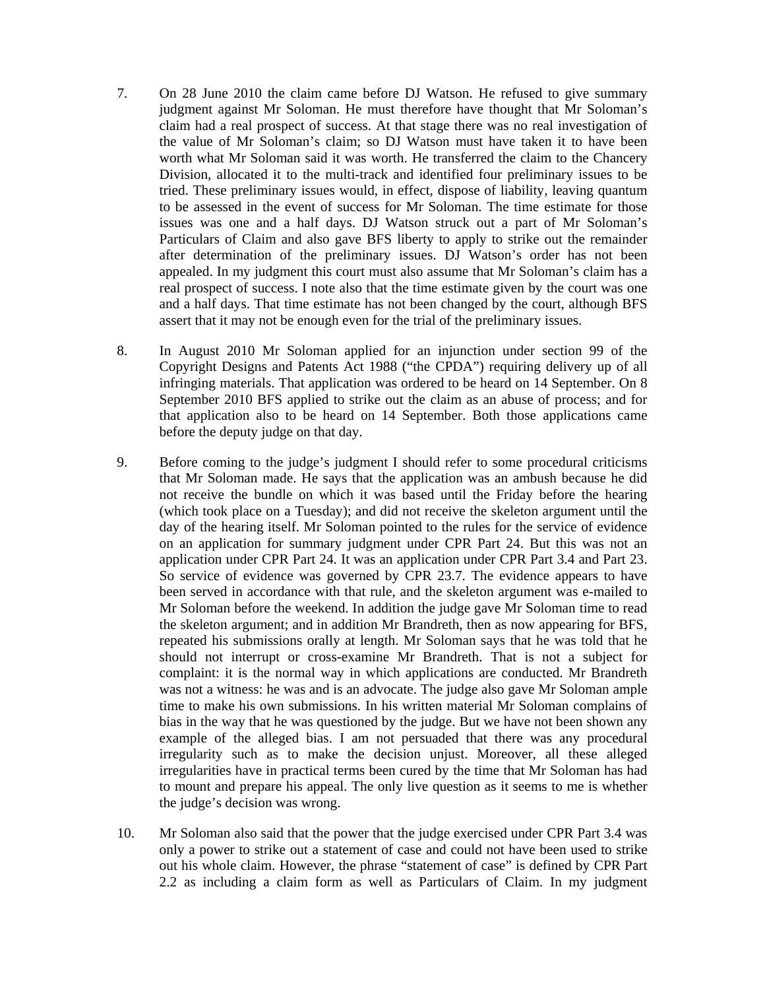- 7. On 28 June 2010 the claim came before DJ Watson. He refused to give summary judgment against Mr Soloman. He must therefore have thought that Mr Soloman's claim had a real prospect of success. At that stage there was no real investigation of the value of Mr Soloman's claim; so DJ Watson must have taken it to have been worth what Mr Soloman said it was worth. He transferred the claim to the Chancery Division, allocated it to the multi-track and identified four preliminary issues to be tried. These preliminary issues would, in effect, dispose of liability, leaving quantum to be assessed in the event of success for Mr Soloman. The time estimate for those issues was one and a half days. DJ Watson struck out a part of Mr Soloman's Particulars of Claim and also gave BFS liberty to apply to strike out the remainder after determination of the preliminary issues. DJ Watson's order has not been appealed. In my judgment this court must also assume that Mr Soloman's claim has a real prospect of success. I note also that the time estimate given by the court was one and a half days. That time estimate has not been changed by the court, although BFS assert that it may not be enough even for the trial of the preliminary issues.
- 8. In August 2010 Mr Soloman applied for an injunction under section 99 of the Copyright Designs and Patents Act 1988 ("the CPDA") requiring delivery up of all infringing materials. That application was ordered to be heard on 14 September. On 8 September 2010 BFS applied to strike out the claim as an abuse of process; and for that application also to be heard on 14 September. Both those applications came before the deputy judge on that day.
- 9. Before coming to the judge's judgment I should refer to some procedural criticisms that Mr Soloman made. He says that the application was an ambush because he did not receive the bundle on which it was based until the Friday before the hearing (which took place on a Tuesday); and did not receive the skeleton argument until the day of the hearing itself. Mr Soloman pointed to the rules for the service of evidence on an application for summary judgment under CPR Part 24. But this was not an application under CPR Part 24. It was an application under CPR Part 3.4 and Part 23. So service of evidence was governed by CPR 23.7. The evidence appears to have been served in accordance with that rule, and the skeleton argument was e-mailed to Mr Soloman before the weekend. In addition the judge gave Mr Soloman time to read the skeleton argument; and in addition Mr Brandreth, then as now appearing for BFS, repeated his submissions orally at length. Mr Soloman says that he was told that he should not interrupt or cross-examine Mr Brandreth. That is not a subject for complaint: it is the normal way in which applications are conducted. Mr Brandreth was not a witness: he was and is an advocate. The judge also gave Mr Soloman ample time to make his own submissions. In his written material Mr Soloman complains of bias in the way that he was questioned by the judge. But we have not been shown any example of the alleged bias. I am not persuaded that there was any procedural irregularity such as to make the decision unjust. Moreover, all these alleged irregularities have in practical terms been cured by the time that Mr Soloman has had to mount and prepare his appeal. The only live question as it seems to me is whether the judge's decision was wrong.
- 10. Mr Soloman also said that the power that the judge exercised under CPR Part 3.4 was only a power to strike out a statement of case and could not have been used to strike out his whole claim. However, the phrase "statement of case" is defined by CPR Part 2.2 as including a claim form as well as Particulars of Claim. In my judgment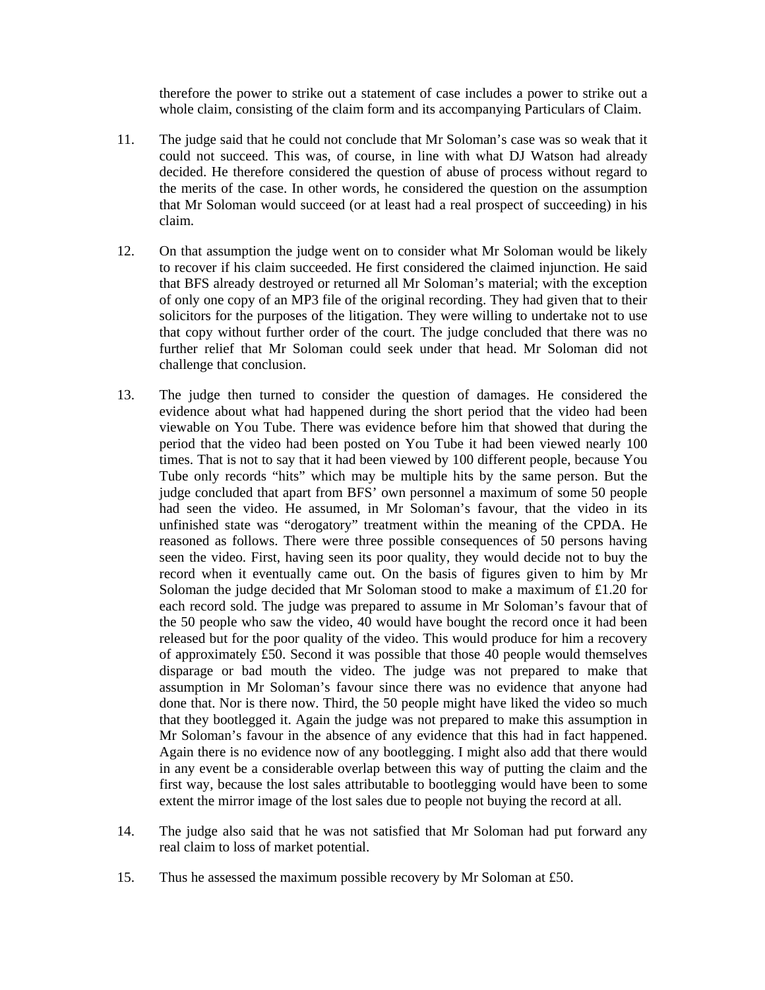therefore the power to strike out a statement of case includes a power to strike out a whole claim, consisting of the claim form and its accompanying Particulars of Claim.

- 11. The judge said that he could not conclude that Mr Soloman's case was so weak that it could not succeed. This was, of course, in line with what DJ Watson had already decided. He therefore considered the question of abuse of process without regard to the merits of the case. In other words, he considered the question on the assumption that Mr Soloman would succeed (or at least had a real prospect of succeeding) in his claim.
- 12. On that assumption the judge went on to consider what Mr Soloman would be likely to recover if his claim succeeded. He first considered the claimed injunction. He said that BFS already destroyed or returned all Mr Soloman's material; with the exception of only one copy of an MP3 file of the original recording. They had given that to their solicitors for the purposes of the litigation. They were willing to undertake not to use that copy without further order of the court. The judge concluded that there was no further relief that Mr Soloman could seek under that head. Mr Soloman did not challenge that conclusion.
- 13. The judge then turned to consider the question of damages. He considered the evidence about what had happened during the short period that the video had been viewable on You Tube. There was evidence before him that showed that during the period that the video had been posted on You Tube it had been viewed nearly 100 times. That is not to say that it had been viewed by 100 different people, because You Tube only records "hits" which may be multiple hits by the same person. But the judge concluded that apart from BFS' own personnel a maximum of some 50 people had seen the video. He assumed, in Mr Soloman's favour, that the video in its unfinished state was "derogatory" treatment within the meaning of the CPDA. He reasoned as follows. There were three possible consequences of 50 persons having seen the video. First, having seen its poor quality, they would decide not to buy the record when it eventually came out. On the basis of figures given to him by Mr Soloman the judge decided that Mr Soloman stood to make a maximum of £1.20 for each record sold. The judge was prepared to assume in Mr Soloman's favour that of the 50 people who saw the video, 40 would have bought the record once it had been released but for the poor quality of the video. This would produce for him a recovery of approximately £50. Second it was possible that those 40 people would themselves disparage or bad mouth the video. The judge was not prepared to make that assumption in Mr Soloman's favour since there was no evidence that anyone had done that. Nor is there now. Third, the 50 people might have liked the video so much that they bootlegged it. Again the judge was not prepared to make this assumption in Mr Soloman's favour in the absence of any evidence that this had in fact happened. Again there is no evidence now of any bootlegging. I might also add that there would in any event be a considerable overlap between this way of putting the claim and the first way, because the lost sales attributable to bootlegging would have been to some extent the mirror image of the lost sales due to people not buying the record at all.
- 14. The judge also said that he was not satisfied that Mr Soloman had put forward any real claim to loss of market potential.
- 15. Thus he assessed the maximum possible recovery by Mr Soloman at £50.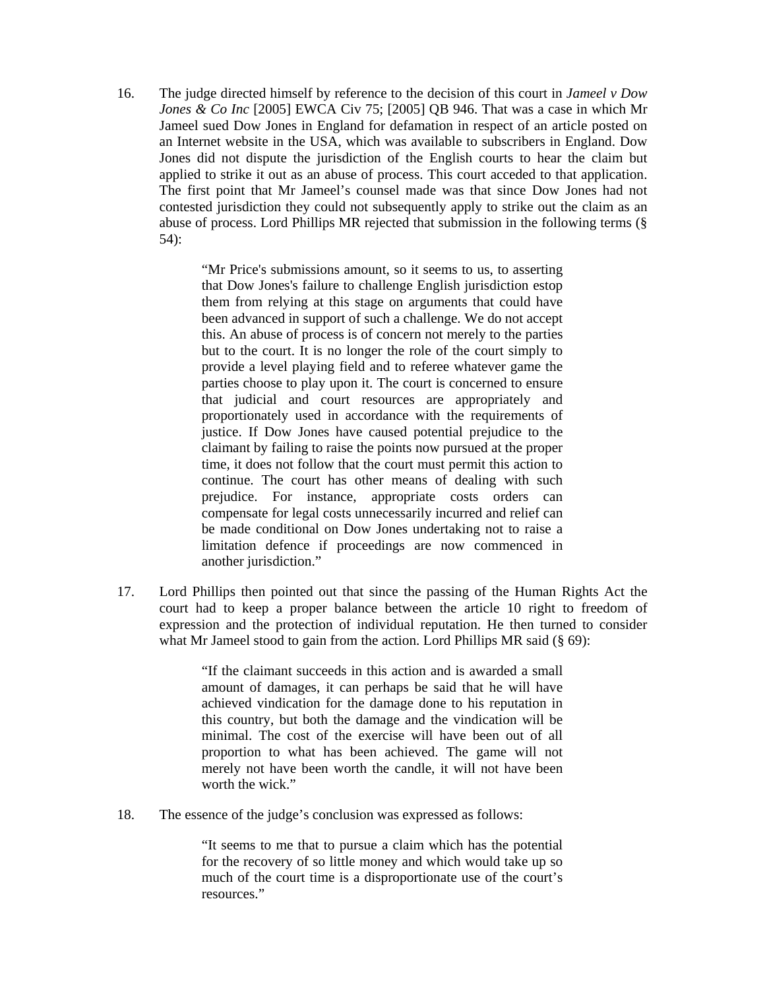16. The judge directed himself by reference to the decision of this court in *Jameel v Dow Jones & Co Inc* [2005] EWCA Civ 75; [2005] QB 946. That was a case in which Mr Jameel sued Dow Jones in England for defamation in respect of an article posted on an Internet website in the USA, which was available to subscribers in England. Dow Jones did not dispute the jurisdiction of the English courts to hear the claim but applied to strike it out as an abuse of process. This court acceded to that application. The first point that Mr Jameel's counsel made was that since Dow Jones had not contested jurisdiction they could not subsequently apply to strike out the claim as an abuse of process. Lord Phillips MR rejected that submission in the following terms (§ 54):

> "Mr Price's submissions amount, so it seems to us, to asserting that Dow Jones's failure to challenge English jurisdiction estop them from relying at this stage on arguments that could have been advanced in support of such a challenge. We do not accept this. An abuse of process is of concern not merely to the parties but to the court. It is no longer the role of the court simply to provide a level playing field and to referee whatever game the parties choose to play upon it. The court is concerned to ensure that judicial and court resources are appropriately and proportionately used in accordance with the requirements of justice. If Dow Jones have caused potential prejudice to the claimant by failing to raise the points now pursued at the proper time, it does not follow that the court must permit this action to continue. The court has other means of dealing with such prejudice. For instance, appropriate costs orders can compensate for legal costs unnecessarily incurred and relief can be made conditional on Dow Jones undertaking not to raise a limitation defence if proceedings are now commenced in another jurisdiction."

17. Lord Phillips then pointed out that since the passing of the Human Rights Act the court had to keep a proper balance between the article 10 right to freedom of expression and the protection of individual reputation. He then turned to consider what Mr Jameel stood to gain from the action. Lord Phillips MR said (§ 69):

> "If the claimant succeeds in this action and is awarded a small amount of damages, it can perhaps be said that he will have achieved vindication for the damage done to his reputation in this country, but both the damage and the vindication will be minimal. The cost of the exercise will have been out of all proportion to what has been achieved. The game will not merely not have been worth the candle, it will not have been worth the wick."

18. The essence of the judge's conclusion was expressed as follows:

"It seems to me that to pursue a claim which has the potential for the recovery of so little money and which would take up so much of the court time is a disproportionate use of the court's resources."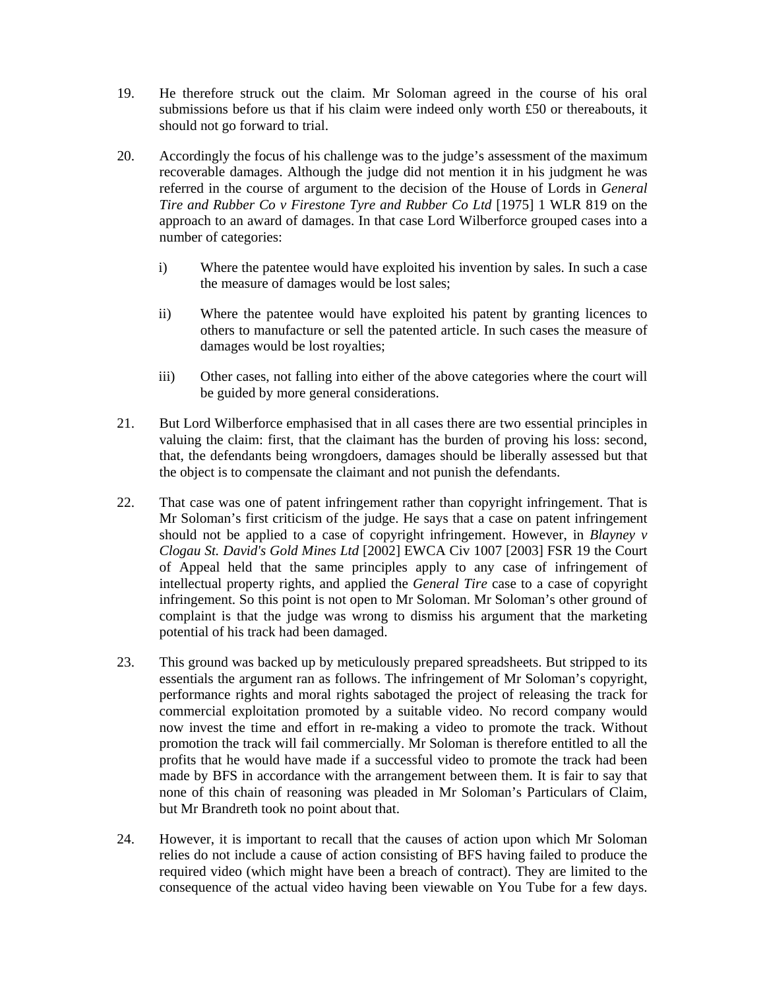- 19. He therefore struck out the claim. Mr Soloman agreed in the course of his oral submissions before us that if his claim were indeed only worth £50 or thereabouts, it should not go forward to trial.
- 20. Accordingly the focus of his challenge was to the judge's assessment of the maximum recoverable damages. Although the judge did not mention it in his judgment he was referred in the course of argument to the decision of the House of Lords in *General Tire and Rubber Co v Firestone Tyre and Rubber Co Ltd* [1975] 1 WLR 819 on the approach to an award of damages. In that case Lord Wilberforce grouped cases into a number of categories:
	- i) Where the patentee would have exploited his invention by sales. In such a case the measure of damages would be lost sales;
	- ii) Where the patentee would have exploited his patent by granting licences to others to manufacture or sell the patented article. In such cases the measure of damages would be lost royalties;
	- iii) Other cases, not falling into either of the above categories where the court will be guided by more general considerations.
- 21. But Lord Wilberforce emphasised that in all cases there are two essential principles in valuing the claim: first, that the claimant has the burden of proving his loss: second, that, the defendants being wrongdoers, damages should be liberally assessed but that the object is to compensate the claimant and not punish the defendants.
- 22. That case was one of patent infringement rather than copyright infringement. That is Mr Soloman's first criticism of the judge. He says that a case on patent infringement should not be applied to a case of copyright infringement. However, in *Blayney v Clogau St. David's Gold Mines Ltd* [2002] EWCA Civ 1007 [2003] FSR 19 the Court of Appeal held that the same principles apply to any case of infringement of intellectual property rights, and applied the *General Tire* case to a case of copyright infringement. So this point is not open to Mr Soloman. Mr Soloman's other ground of complaint is that the judge was wrong to dismiss his argument that the marketing potential of his track had been damaged.
- 23. This ground was backed up by meticulously prepared spreadsheets. But stripped to its essentials the argument ran as follows. The infringement of Mr Soloman's copyright, performance rights and moral rights sabotaged the project of releasing the track for commercial exploitation promoted by a suitable video. No record company would now invest the time and effort in re-making a video to promote the track. Without promotion the track will fail commercially. Mr Soloman is therefore entitled to all the profits that he would have made if a successful video to promote the track had been made by BFS in accordance with the arrangement between them. It is fair to say that none of this chain of reasoning was pleaded in Mr Soloman's Particulars of Claim, but Mr Brandreth took no point about that.
- 24. However, it is important to recall that the causes of action upon which Mr Soloman relies do not include a cause of action consisting of BFS having failed to produce the required video (which might have been a breach of contract). They are limited to the consequence of the actual video having been viewable on You Tube for a few days.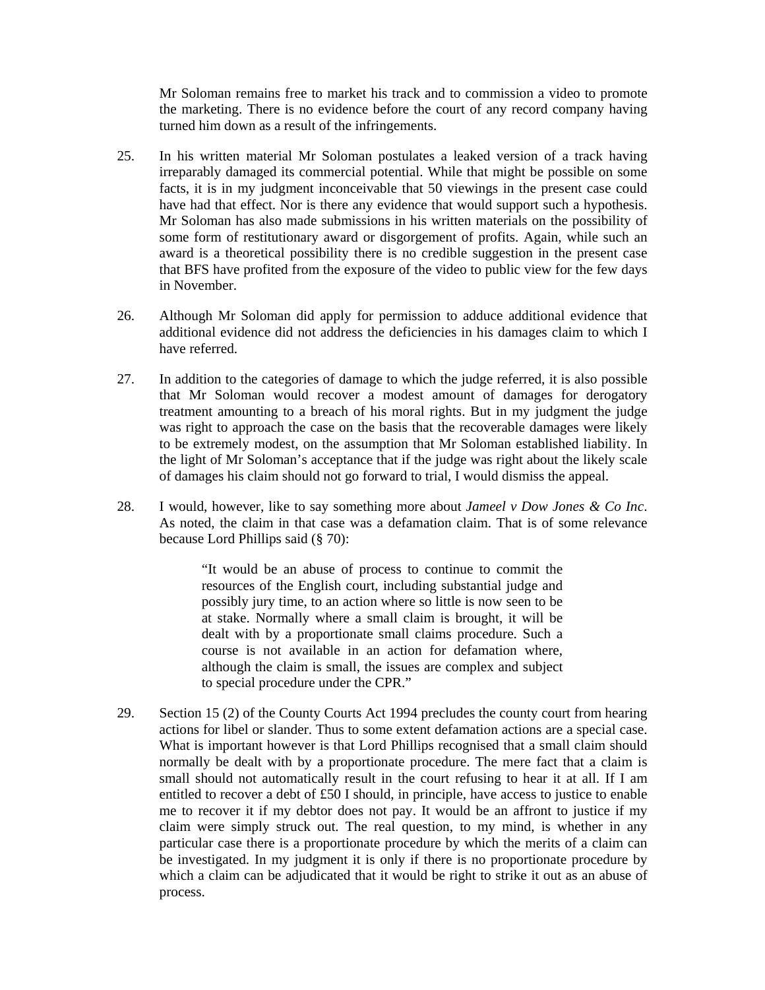Mr Soloman remains free to market his track and to commission a video to promote the marketing. There is no evidence before the court of any record company having turned him down as a result of the infringements.

- 25. In his written material Mr Soloman postulates a leaked version of a track having irreparably damaged its commercial potential. While that might be possible on some facts, it is in my judgment inconceivable that 50 viewings in the present case could have had that effect. Nor is there any evidence that would support such a hypothesis. Mr Soloman has also made submissions in his written materials on the possibility of some form of restitutionary award or disgorgement of profits. Again, while such an award is a theoretical possibility there is no credible suggestion in the present case that BFS have profited from the exposure of the video to public view for the few days in November.
- 26. Although Mr Soloman did apply for permission to adduce additional evidence that additional evidence did not address the deficiencies in his damages claim to which I have referred.
- 27. In addition to the categories of damage to which the judge referred, it is also possible that Mr Soloman would recover a modest amount of damages for derogatory treatment amounting to a breach of his moral rights. But in my judgment the judge was right to approach the case on the basis that the recoverable damages were likely to be extremely modest, on the assumption that Mr Soloman established liability. In the light of Mr Soloman's acceptance that if the judge was right about the likely scale of damages his claim should not go forward to trial, I would dismiss the appeal.
- 28. I would, however, like to say something more about *Jameel v Dow Jones & Co Inc*. As noted, the claim in that case was a defamation claim. That is of some relevance because Lord Phillips said (§ 70):

"It would be an abuse of process to continue to commit the resources of the English court, including substantial judge and possibly jury time, to an action where so little is now seen to be at stake. Normally where a small claim is brought, it will be dealt with by a proportionate small claims procedure. Such a course is not available in an action for defamation where, although the claim is small, the issues are complex and subject to special procedure under the CPR."

29. Section 15 (2) of the County Courts Act 1994 precludes the county court from hearing actions for libel or slander. Thus to some extent defamation actions are a special case. What is important however is that Lord Phillips recognised that a small claim should normally be dealt with by a proportionate procedure. The mere fact that a claim is small should not automatically result in the court refusing to hear it at all. If I am entitled to recover a debt of £50 I should, in principle, have access to justice to enable me to recover it if my debtor does not pay. It would be an affront to justice if my claim were simply struck out. The real question, to my mind, is whether in any particular case there is a proportionate procedure by which the merits of a claim can be investigated. In my judgment it is only if there is no proportionate procedure by which a claim can be adjudicated that it would be right to strike it out as an abuse of process.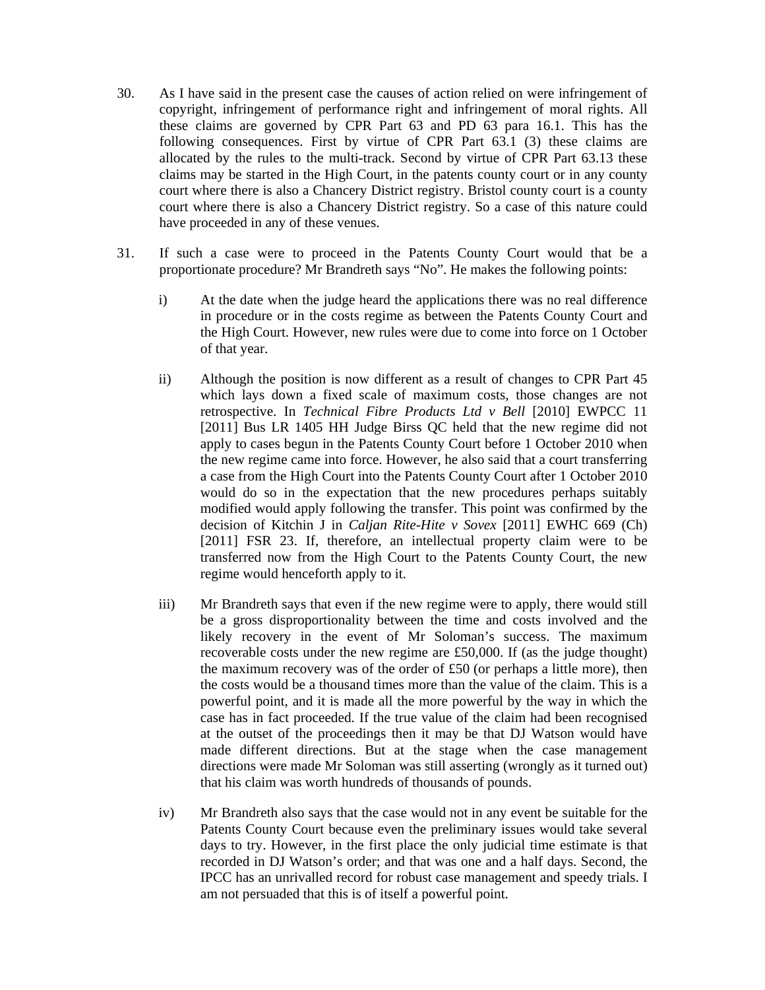- 30. As I have said in the present case the causes of action relied on were infringement of copyright, infringement of performance right and infringement of moral rights. All these claims are governed by CPR Part 63 and PD 63 para 16.1. This has the following consequences. First by virtue of CPR Part 63.1 (3) these claims are allocated by the rules to the multi-track. Second by virtue of CPR Part 63.13 these claims may be started in the High Court, in the patents county court or in any county court where there is also a Chancery District registry. Bristol county court is a county court where there is also a Chancery District registry. So a case of this nature could have proceeded in any of these venues.
- 31. If such a case were to proceed in the Patents County Court would that be a proportionate procedure? Mr Brandreth says "No". He makes the following points:
	- i) At the date when the judge heard the applications there was no real difference in procedure or in the costs regime as between the Patents County Court and the High Court. However, new rules were due to come into force on 1 October of that year.
	- ii) Although the position is now different as a result of changes to CPR Part 45 which lays down a fixed scale of maximum costs, those changes are not retrospective. In *Technical Fibre Products Ltd v Bell* [2010] EWPCC 11 [2011] Bus LR 1405 HH Judge Birss QC held that the new regime did not apply to cases begun in the Patents County Court before 1 October 2010 when the new regime came into force. However, he also said that a court transferring a case from the High Court into the Patents County Court after 1 October 2010 would do so in the expectation that the new procedures perhaps suitably modified would apply following the transfer. This point was confirmed by the decision of Kitchin J in *Caljan Rite-Hite v Sovex* [2011] EWHC 669 (Ch) [2011] FSR 23. If, therefore, an intellectual property claim were to be transferred now from the High Court to the Patents County Court, the new regime would henceforth apply to it.
	- iii) Mr Brandreth says that even if the new regime were to apply, there would still be a gross disproportionality between the time and costs involved and the likely recovery in the event of Mr Soloman's success. The maximum recoverable costs under the new regime are £50,000. If (as the judge thought) the maximum recovery was of the order of £50 (or perhaps a little more), then the costs would be a thousand times more than the value of the claim. This is a powerful point, and it is made all the more powerful by the way in which the case has in fact proceeded. If the true value of the claim had been recognised at the outset of the proceedings then it may be that DJ Watson would have made different directions. But at the stage when the case management directions were made Mr Soloman was still asserting (wrongly as it turned out) that his claim was worth hundreds of thousands of pounds.
	- iv) Mr Brandreth also says that the case would not in any event be suitable for the Patents County Court because even the preliminary issues would take several days to try. However, in the first place the only judicial time estimate is that recorded in DJ Watson's order; and that was one and a half days. Second, the IPCC has an unrivalled record for robust case management and speedy trials. I am not persuaded that this is of itself a powerful point.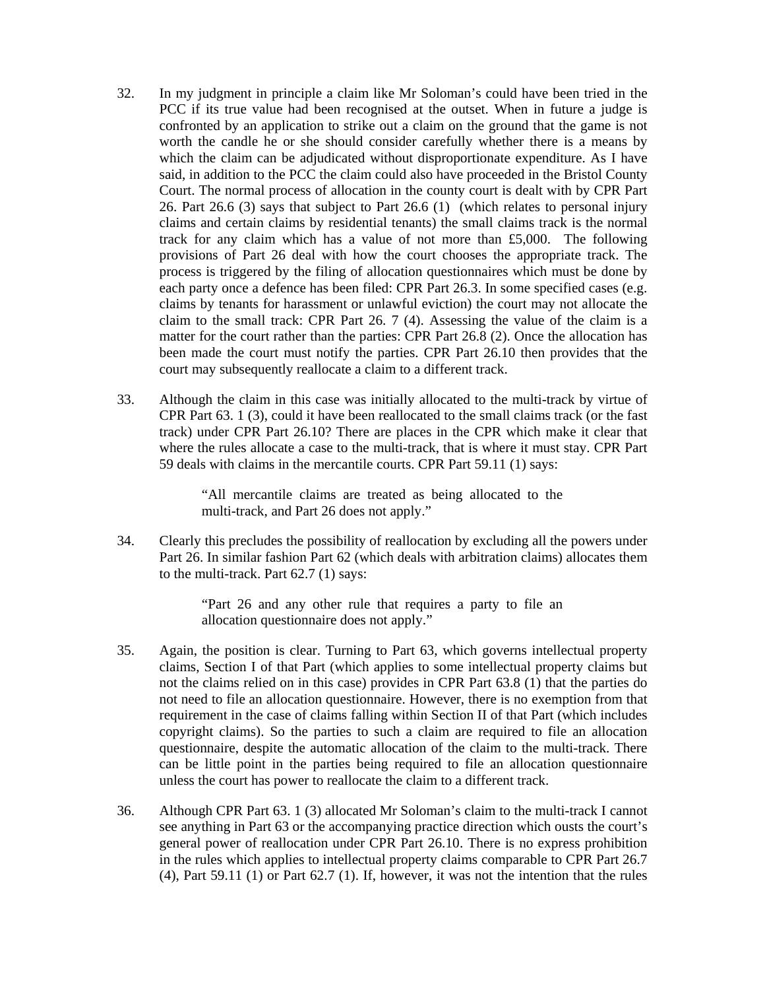- 32. In my judgment in principle a claim like Mr Soloman's could have been tried in the PCC if its true value had been recognised at the outset. When in future a judge is confronted by an application to strike out a claim on the ground that the game is not worth the candle he or she should consider carefully whether there is a means by which the claim can be adjudicated without disproportionate expenditure. As I have said, in addition to the PCC the claim could also have proceeded in the Bristol County Court. The normal process of allocation in the county court is dealt with by CPR Part 26. Part 26.6 (3) says that subject to Part 26.6 (1) (which relates to personal injury claims and certain claims by residential tenants) the small claims track is the normal track for any claim which has a value of not more than £5,000. The following provisions of Part 26 deal with how the court chooses the appropriate track. The process is triggered by the filing of allocation questionnaires which must be done by each party once a defence has been filed: CPR Part 26.3. In some specified cases (e.g. claims by tenants for harassment or unlawful eviction) the court may not allocate the claim to the small track: CPR Part 26. 7 (4). Assessing the value of the claim is a matter for the court rather than the parties: CPR Part 26.8 (2). Once the allocation has been made the court must notify the parties. CPR Part 26.10 then provides that the court may subsequently reallocate a claim to a different track.
- 33. Although the claim in this case was initially allocated to the multi-track by virtue of CPR Part 63. 1 (3), could it have been reallocated to the small claims track (or the fast track) under CPR Part 26.10? There are places in the CPR which make it clear that where the rules allocate a case to the multi-track, that is where it must stay. CPR Part 59 deals with claims in the mercantile courts. CPR Part 59.11 (1) says:

"All mercantile claims are treated as being allocated to the multi-track, and Part 26 does not apply."

34. Clearly this precludes the possibility of reallocation by excluding all the powers under Part 26. In similar fashion Part 62 (which deals with arbitration claims) allocates them to the multi-track. Part 62.7 (1) says:

> "Part 26 and any other rule that requires a party to file an allocation questionnaire does not apply."

- 35. Again, the position is clear. Turning to Part 63, which governs intellectual property claims, Section I of that Part (which applies to some intellectual property claims but not the claims relied on in this case) provides in CPR Part 63.8 (1) that the parties do not need to file an allocation questionnaire. However, there is no exemption from that requirement in the case of claims falling within Section II of that Part (which includes copyright claims). So the parties to such a claim are required to file an allocation questionnaire, despite the automatic allocation of the claim to the multi-track. There can be little point in the parties being required to file an allocation questionnaire unless the court has power to reallocate the claim to a different track.
- 36. Although CPR Part 63. 1 (3) allocated Mr Soloman's claim to the multi-track I cannot see anything in Part 63 or the accompanying practice direction which ousts the court's general power of reallocation under CPR Part 26.10. There is no express prohibition in the rules which applies to intellectual property claims comparable to CPR Part 26.7 (4), Part 59.11 (1) or Part 62.7 (1). If, however, it was not the intention that the rules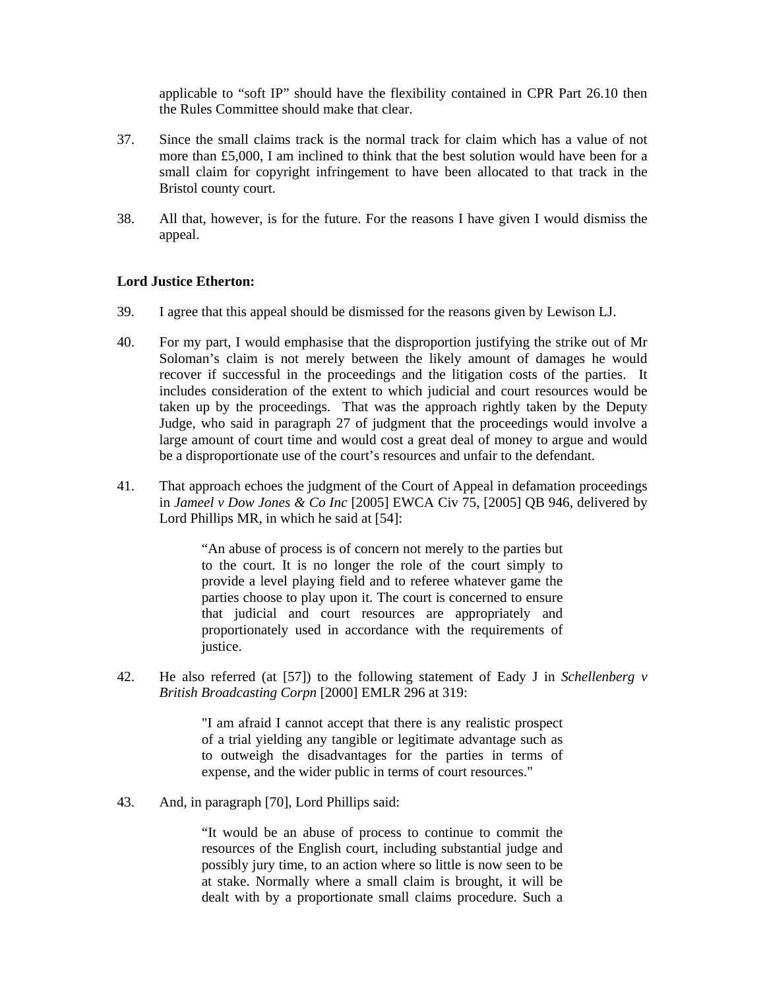applicable to "soft IP" should have the flexibility contained in CPR Part 26.10 then the Rules Committee should make that clear.

- 37. Since the small claims track is the normal track for claim which has a value of not more than £5,000, I am inclined to think that the best solution would have been for a small claim for copyright infringement to have been allocated to that track in the Bristol county court.
- 38. All that, however, is for the future. For the reasons I have given I would dismiss the appeal.

# **Lord Justice Etherton:**

- 39. I agree that this appeal should be dismissed for the reasons given by Lewison LJ.
- 40. For my part, I would emphasise that the disproportion justifying the strike out of Mr Soloman's claim is not merely between the likely amount of damages he would recover if successful in the proceedings and the litigation costs of the parties. It includes consideration of the extent to which judicial and court resources would be taken up by the proceedings. That was the approach rightly taken by the Deputy Judge, who said in paragraph 27 of judgment that the proceedings would involve a large amount of court time and would cost a great deal of money to argue and would be a disproportionate use of the court's resources and unfair to the defendant.
- 41. That approach echoes the judgment of the Court of Appeal in defamation proceedings in *Jameel v Dow Jones & Co Inc* [2005] EWCA Civ 75, [2005] QB 946, delivered by Lord Phillips MR, in which he said at [54]:

"An abuse of process is of concern not merely to the parties but to the court. It is no longer the role of the court simply to provide a level playing field and to referee whatever game the parties choose to play upon it. The court is concerned to ensure that judicial and court resources are appropriately and proportionately used in accordance with the requirements of justice.

42. He also referred (at [57]) to the following statement of Eady J in *Schellenberg v British Broadcasting Corpn* [2000] EMLR 296 at 319:

> "I am afraid I cannot accept that there is any realistic prospect of a trial yielding any tangible or legitimate advantage such as to outweigh the disadvantages for the parties in terms of expense, and the wider public in terms of court resources."

43. And, in paragraph [70], Lord Phillips said:

"It would be an abuse of process to continue to commit the resources of the English court, including substantial judge and possibly jury time, to an action where so little is now seen to be at stake. Normally where a small claim is brought, it will be dealt with by a proportionate small claims procedure. Such a